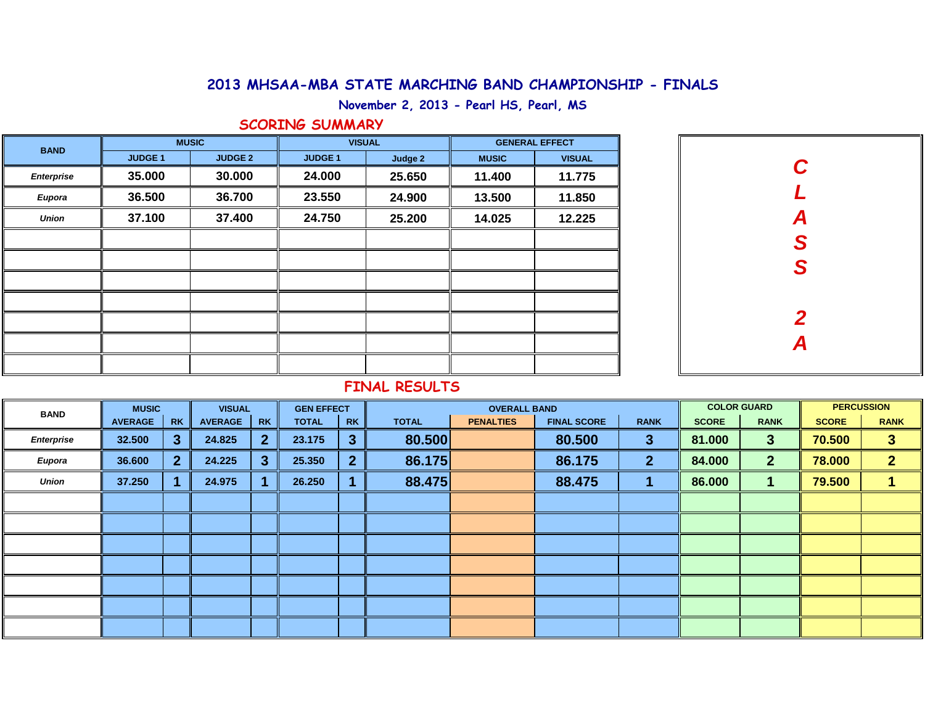## **2013 MHSAA-MBA STATE MARCHING BAND CHAMPIONSHIP - FINALS**

**November 2, 2013 - Pearl HS, Pearl, MS**

## **SCORING SUMMARY**

| <b>BAND</b>       |               | <b>MUSIC</b>   |                | <b>VISUAL</b> | <b>GENERAL EFFECT</b> |               |  |  |  |
|-------------------|---------------|----------------|----------------|---------------|-----------------------|---------------|--|--|--|
|                   | <b>JUDGE1</b> | <b>JUDGE 2</b> | <b>JUDGE 1</b> | Judge 2       | <b>MUSIC</b>          | <b>VISUAL</b> |  |  |  |
| <b>Enterprise</b> | 35.000        | 30.000         | 24.000         | 25.650        | 11.400                | 11.775        |  |  |  |
| <b>Eupora</b>     | 36.500        | 36.700         | 23.550         | 24.900        | 13.500                | 11.850        |  |  |  |
| <b>Union</b>      | 37.100        | 37.400         | 24.750         | 25.200        | 14.025                | 12.225        |  |  |  |
|                   |               |                |                |               |                       |               |  |  |  |
|                   |               |                |                |               |                       |               |  |  |  |
|                   |               |                |                |               |                       |               |  |  |  |
|                   |               |                |                |               |                       |               |  |  |  |
|                   |               |                |                |               |                       |               |  |  |  |
|                   |               |                |                |               |                       |               |  |  |  |
|                   |               |                |                |               |                       |               |  |  |  |

| $\mathbf C$    |
|----------------|
| $\overline{L}$ |
| ASS            |
|                |
|                |
|                |
| $\frac{2}{A}$  |
|                |
|                |

# **FINAL RESULTS**

| <b>BAND</b>       | <b>MUSIC</b>   |                | <b>VISUAL</b>  |                | <b>GEN EFFECT</b> |                |              | <b>OVERALL BAND</b> |                    | <b>COLOR GUARD</b> |              | <b>PERCUSSION</b> |              |                |
|-------------------|----------------|----------------|----------------|----------------|-------------------|----------------|--------------|---------------------|--------------------|--------------------|--------------|-------------------|--------------|----------------|
|                   | <b>AVERAGE</b> | RK             | <b>AVERAGE</b> | <b>RK</b>      | <b>TOTAL</b>      | <b>RK</b>      | <b>TOTAL</b> | <b>PENALTIES</b>    | <b>FINAL SCORE</b> | <b>RANK</b>        | <b>SCORE</b> | <b>RANK</b>       | <b>SCORE</b> | <b>RANK</b>    |
| <b>Enterprise</b> | 32.500         | 3 <sup>°</sup> | 24.825         | $\mathbf{2}$   | 23.175            | 3              | 80.500       |                     | 80.500             | $\mathbf{3}$       | 81.000       | $\mathbf{3}$      | 70.500       | 3              |
| <b>Eupora</b>     | 36.600         | 2 <sup>1</sup> | 24.225         | 3 <sup>1</sup> | 25.350            | $\overline{2}$ | 86.175       |                     | 86.175             | $\mathbf{2}$       | 84.000       | 2 <sup>2</sup>    | 78.000       | $\overline{2}$ |
| <b>Union</b>      | 37.250         |                | 24.975         |                | 26.250            |                | 88.475       |                     | 88.475             |                    | 86.000       |                   | 79.500       |                |
|                   |                |                |                |                |                   |                |              |                     |                    |                    |              |                   |              |                |
|                   |                |                |                |                |                   |                |              |                     |                    |                    |              |                   |              |                |
|                   |                |                |                |                |                   |                |              |                     |                    |                    |              |                   |              |                |
|                   |                |                |                |                |                   |                |              |                     |                    |                    |              |                   |              |                |
|                   |                |                |                |                |                   |                |              |                     |                    |                    |              |                   |              |                |
|                   |                |                |                |                |                   |                |              |                     |                    |                    |              |                   |              |                |
|                   |                |                |                |                |                   |                |              |                     |                    |                    |              |                   |              |                |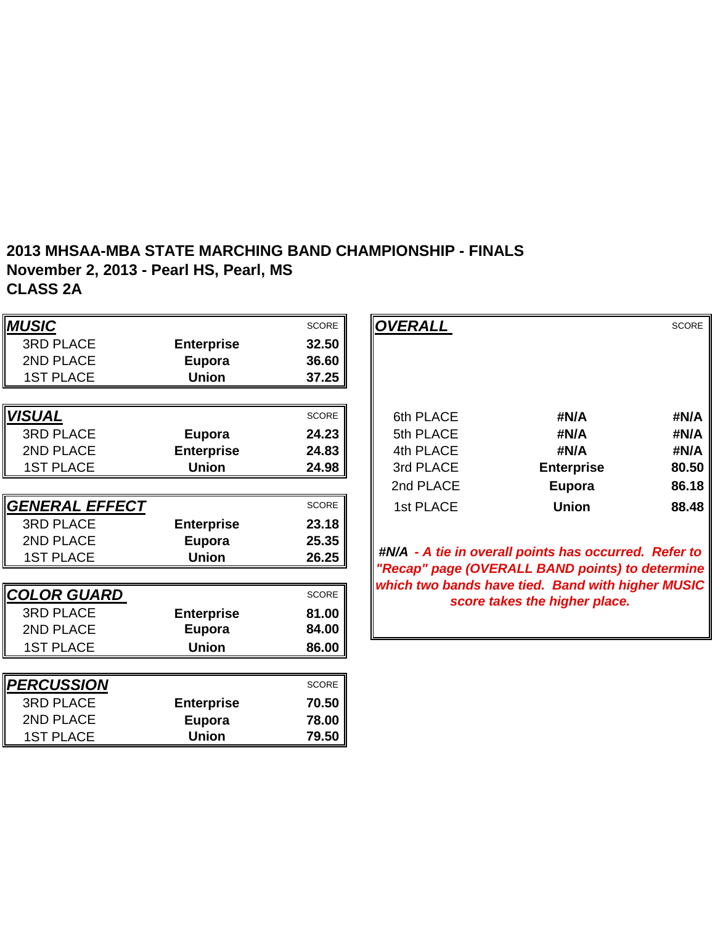#### **2013 MHSAA-MBA STATE MARCHING BAND CHAMPIONSHIP - FINALS November 2, 2013 - Pearl HS, Pearl, MS CLASS 2A**

| <b>MUSIC</b>          |                   | <b>SCORE</b> | <b>OVERALL</b> |                                                                                                          | <b>SCORE</b> |
|-----------------------|-------------------|--------------|----------------|----------------------------------------------------------------------------------------------------------|--------------|
| <b>3RD PLACE</b>      | <b>Enterprise</b> | 32.50        |                |                                                                                                          |              |
| 2ND PLACE             | <b>Eupora</b>     | 36.60        |                |                                                                                                          |              |
| <b>1ST PLACE</b>      | <b>Union</b>      | 37.25        |                |                                                                                                          |              |
|                       |                   |              |                |                                                                                                          |              |
| <b>VISUAL</b>         |                   | <b>SCORE</b> | 6th PLACE      | #N/A                                                                                                     | #N/A         |
| <b>3RD PLACE</b>      | <b>Eupora</b>     | 24.23        | 5th PLACE      | #N/A                                                                                                     | #N/A         |
| 2ND PLACE             | <b>Enterprise</b> | 24.83        | 4th PLACE      | #N/A                                                                                                     | #N/A         |
| <b>1ST PLACE</b>      | <b>Union</b>      | 24.98        | 3rd PLACE      | <b>Enterprise</b>                                                                                        | 80.50        |
|                       |                   |              | 2nd PLACE      | Eupora                                                                                                   | 86.18        |
| <b>GENERAL EFFECT</b> |                   | <b>SCORE</b> | 1st PLACE      | <b>Union</b>                                                                                             | 88.48        |
| <b>3RD PLACE</b>      | <b>Enterprise</b> | 23.18        |                |                                                                                                          |              |
| 2ND PLACE             | Eupora            | 25.35        |                |                                                                                                          |              |
| <b>1ST PLACE</b>      | <b>Union</b>      | 26.25        |                | #N/A - A tie in overall points has occurred. Refer to<br>"Recap" page (OVERALL BAND points) to determine |              |
|                       |                   |              |                | which two bands have tied. Band with higher MUSIC                                                        |              |
| <b>COLOR GUARD</b>    |                   | SCORE        |                | score takes the higher place.                                                                            |              |
| <b>3RD PLACE</b>      | <b>Enterprise</b> | 81.00        |                |                                                                                                          |              |
| 2ND PLACE             | <b>Eupora</b>     | 84.00        |                |                                                                                                          |              |
| <b>1ST PLACE</b>      | <b>Union</b>      | 86.00        |                |                                                                                                          |              |
|                       |                   |              |                |                                                                                                          |              |
| <b>PERCUSSION</b>     |                   | <b>SCORE</b> |                |                                                                                                          |              |
| <b>3RD PLACE</b>      | <b>Enterprise</b> | 70.50        |                |                                                                                                          |              |
| 2ND PLACE             | Eupora            | 78.00        |                |                                                                                                          |              |
| <b>1ST PLACE</b>      | <b>Union</b>      | 79.50        |                |                                                                                                          |              |

|                   | <b>SCORE</b> | <b>OVERALL</b> |                   | <b>SCORE</b> |
|-------------------|--------------|----------------|-------------------|--------------|
| <b>Enterprise</b> | 32.50        |                |                   |              |
| Eupora            | 36.60        |                |                   |              |
| <b>Union</b>      | 37.25        |                |                   |              |
|                   |              |                |                   |              |
|                   | <b>SCORE</b> | 6th PLACE      | #N/A              | #N/A         |
| Eupora            | 24.23        | 5th PLACE      | #N/A              | #N/A         |
| <b>Enterprise</b> | 24.83        | 4th PLACE      | #N/A              | #N/A         |
| <b>Union</b>      | 24.98        | 3rd PLACE      | <b>Enterprise</b> | 80.50        |
|                   |              | 2nd PLACE      | Eupora            | 86.18        |
|                   | <b>SCORE</b> | 1st PLACE      | <b>Union</b>      | 88.48        |
| <b>Enfernrice</b> | 2318         |                |                   |              |